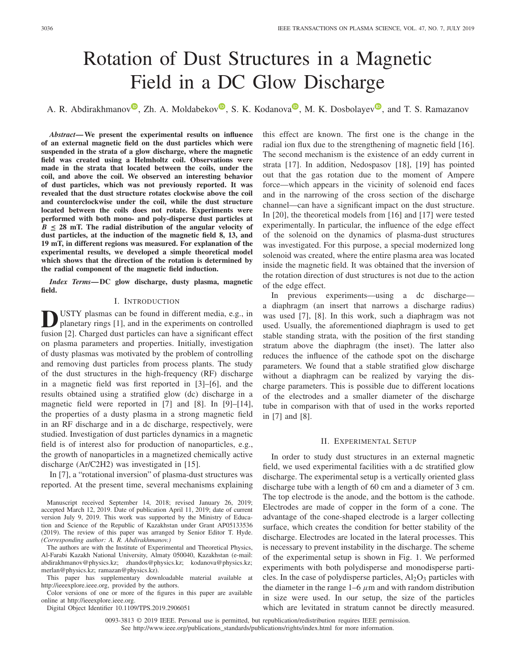# Rotation of Dust Structures in a Magnetic Field in a DC Glow Discharge

A. R. Abdirakhmano[v](https://orcid.org/0000-0002-9725-9208)<sup><sup>®</sup>, Zh. A. Mold[a](https://orcid.org/0000-0001-7098-471X)bekov<sup>®</sup>, S. K. Kodanova<sup>®</sup>, M. K. Dosbolayev<sup>®</sup>, and T. S. Ramazanov</sup>

*Abstract***— We present the experimental results on influence of an external magnetic field on the dust particles which were suspended in the strata of a glow discharge, where the magnetic field was created using a Helmholtz coil. Observations were made in the strata that located between the coils, under the coil, and above the coil. We observed an interesting behavior of dust particles, which was not previously reported. It was revealed that the dust structure rotates clockwise above the coil and counterclockwise under the coil, while the dust structure located between the coils does not rotate. Experiments were performed with both mono- and poly-disperse dust particles at**  $B \leq 28$  mT. The radial distribution of the angular velocity of **dust particles, at the induction of the magnetic field 8, 13, and 19 mT, in different regions was measured. For explanation of the experimental results, we developed a simple theoretical model which shows that the direction of the rotation is determined by the radial component of the magnetic field induction.**

*Index Terms***— DC glow discharge, dusty plasma, magnetic field.**

# I. INTRODUCTION

**D**USTY plasmas can be found in different media, e.g., in planetary rings [1], and in the experiments on controlled fusion [2]. Charged dust particles can have a significant effect on plasma parameters and properties. Initially, investigation of dusty plasmas was motivated by the problem of controlling and removing dust particles from process plants. The study of the dust structures in the high-frequency (RF) discharge in a magnetic field was first reported in [3]–[6], and the results obtained using a stratified glow (dc) discharge in a magnetic field were reported in [7] and [8]. In [9]–[14], the properties of a dusty plasma in a strong magnetic field in an RF discharge and in a dc discharge, respectively, were studied. Investigation of dust particles dynamics in a magnetic field is of interest also for production of nanoparticles, e.g., the growth of nanoparticles in a magnetized chemically active discharge (Ar/C2H2) was investigated in [15].

In [7], a "rotational inversion" of plasma-dust structures was reported. At the present time, several mechanisms explaining

Manuscript received September 14, 2018; revised January 26, 2019; accepted March 12, 2019. Date of publication April 11, 2019; date of current version July 9, 2019. This work was supported by the Ministry of Education and Science of the Republic of Kazakhstan under Grant AP05133536 (2019). The review of this paper was arranged by Senior Editor T. Hyde. *(Corresponding author: A. R. Abdirakhmanov.)*

The authors are with the Institute of Experimental and Theoretical Physics, Al-Farabi Kazakh National University, Almaty 050040, Kazakhstan (e-mail: abdirakhmanov@physics.kz; zhandos@physics.kz; kodanova@physics.kz; merlan@physics.kz; ramazan@physics.kz).

This paper has supplementary downloadable material available at http://ieeexplore.ieee.org, provided by the authors.

Color versions of one or more of the figures in this paper are available online at http://ieeexplore.ieee.org.

Digital Object Identifier 10.1109/TPS.2019.2906051

this effect are known. The first one is the change in the radial ion flux due to the strengthening of magnetic field [16]. The second mechanism is the existence of an eddy current in strata [17]. In addition, Nedospasov [18], [19] has pointed out that the gas rotation due to the moment of Ampere force—which appears in the vicinity of solenoid end faces and in the narrowing of the cross section of the discharge channel—can have a significant impact on the dust structure. In [20], the theoretical models from [16] and [17] were tested experimentally. In particular, the influence of the edge effect of the solenoid on the dynamics of plasma-dust structures was investigated. For this purpose, a special modernized long solenoid was created, where the entire plasma area was located inside the magnetic field. It was obtained that the inversion of the rotation direction of dust structures is not due to the action of the edge effect.

In previous experiments—using a dc discharge a diaphragm (an insert that narrows a discharge radius) was used [7], [8]. In this work, such a diaphragm was not used. Usually, the aforementioned diaphragm is used to get stable standing strata, with the position of the first standing stratum above the diaphragm (the inset). The latter also reduces the influence of the cathode spot on the discharge parameters. We found that a stable stratified glow discharge without a diaphragm can be realized by varying the discharge parameters. This is possible due to different locations of the electrodes and a smaller diameter of the discharge tube in comparison with that of used in the works reported in [7] and [8].

## II. EXPERIMENTAL SETUP

In order to study dust structures in an external magnetic field, we used experimental facilities with a dc stratified glow discharge. The experimental setup is a vertically oriented glass discharge tube with a length of 60 cm and a diameter of 3 cm. The top electrode is the anode, and the bottom is the cathode. Electrodes are made of copper in the form of a cone. The advantage of the cone-shaped electrode is a larger collecting surface, which creates the condition for better stability of the discharge. Electrodes are located in the lateral processes. This is necessary to prevent instability in the discharge. The scheme of the experimental setup is shown in Fig. 1. We performed experiments with both polydisperse and monodisperse particles. In the case of polydisperse particles,  $Al_2O_3$  particles with the diameter in the range  $1-6 \mu m$  and with random distribution in size were used. In our setup, the size of the particles which are levitated in stratum cannot be directly measured.

0093-3813 © 2019 IEEE. Personal use is permitted, but republication/redistribution requires IEEE permission. See http://www.ieee.org/publications\_standards/publications/rights/index.html for more information.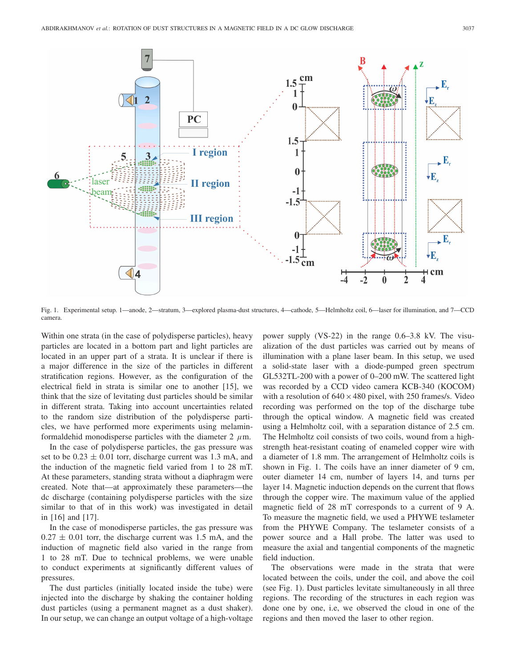

Fig. 1. Experimental setup. 1—anode, 2—stratum, 3—explored plasma-dust structures, 4—cathode, 5—Helmholtz coil, 6—laser for illumination, and 7—CCD camera.

Within one strata (in the case of polydisperse particles), heavy particles are located in a bottom part and light particles are located in an upper part of a strata. It is unclear if there is a major difference in the size of the particles in different stratification regions. However, as the configuration of the electrical field in strata is similar one to another [15], we think that the size of levitating dust particles should be similar in different strata. Taking into account uncertainties related to the random size distribution of the polydisperse particles, we have performed more experiments using melaminformaldehid monodisperse particles with the diameter 2  $\mu$ m.

In the case of polydisperse particles, the gas pressure was set to be  $0.23 \pm 0.01$  torr, discharge current was 1.3 mA, and the induction of the magnetic field varied from 1 to 28 mT. At these parameters, standing strata without a diaphragm were created. Note that—at approximately these parameters—the dc discharge (containing polydisperse particles with the size similar to that of in this work) was investigated in detail in [16] and [17].

In the case of monodisperse particles, the gas pressure was  $0.27 \pm 0.01$  torr, the discharge current was 1.5 mA, and the induction of magnetic field also varied in the range from 1 to 28 mT. Due to technical problems, we were unable to conduct experiments at significantly different values of pressures.

The dust particles (initially located inside the tube) were injected into the discharge by shaking the container holding dust particles (using a permanent magnet as a dust shaker). In our setup, we can change an output voltage of a high-voltage power supply (VS-22) in the range 0.6–3.8 kV. The visualization of the dust particles was carried out by means of illumination with a plane laser beam. In this setup, we used a solid-state laser with a diode-pumped green spectrum GL532TL-200 with a power of 0–200 mW. The scattered light was recorded by a CCD video camera KCB-340 (KOCOM) with a resolution of  $640 \times 480$  pixel, with 250 frames/s. Video recording was performed on the top of the discharge tube through the optical window. A magnetic field was created using a Helmholtz coil, with a separation distance of 2.5 cm. The Helmholtz coil consists of two coils, wound from a highstrength heat-resistant coating of enameled copper wire with a diameter of 1.8 mm. The arrangement of Helmholtz coils is shown in Fig. 1. The coils have an inner diameter of 9 cm, outer diameter 14 cm, number of layers 14, and turns per layer 14. Magnetic induction depends on the current that flows through the copper wire. The maximum value of the applied magnetic field of 28 mT corresponds to a current of 9 A. To measure the magnetic field, we used a PHYWE teslameter from the PHYWE Company. The teslameter consists of a power source and a Hall probe. The latter was used to measure the axial and tangential components of the magnetic field induction.

The observations were made in the strata that were located between the coils, under the coil, and above the coil (see Fig. 1). Dust particles levitate simultaneously in all three regions. The recording of the structures in each region was done one by one, i.e, we observed the cloud in one of the regions and then moved the laser to other region.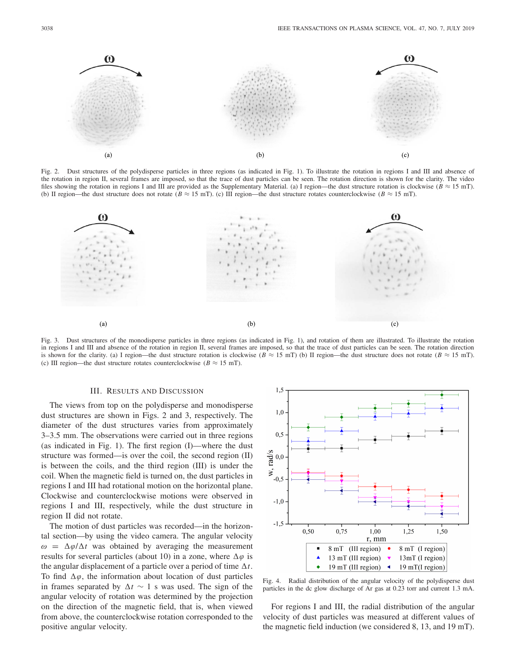

Fig. 2. Dust structures of the polydisperse particles in three regions (as indicated in Fig. 1). To illustrate the rotation in regions I and III and absence of the rotation in region II, several frames are imposed, so that the trace of dust particles can be seen. The rotation direction is shown for the clarity. The video files showing the rotation in regions I and III are provided as the Supplementary Material. (a) I region—the dust structure rotation is clockwise ( $B \approx 15$  mT). (b) II region—the dust structure does not rotate ( $B \approx 15$  mT). (c) III region—the dust structure rotates counterclockwise ( $B \approx 15$  mT).



Fig. 3. Dust structures of the monodisperse particles in three regions (as indicated in Fig. 1), and rotation of them are illustrated. To illustrate the rotation in regions I and III and absence of the rotation in region II, several frames are imposed, so that the trace of dust particles can be seen. The rotation direction is shown for the clarity. (a) I region—the dust structure rotation is clockwise ( $B \approx 15$  mT) (b) II region—the dust structure does not rotate ( $B \approx 15$  mT). (c) III region—the dust structure rotates counterclockwise ( $B \approx 15$  mT).

#### III. RESULTS AND DISCUSSION

The views from top on the polydisperse and monodisperse dust structures are shown in Figs. 2 and 3, respectively. The diameter of the dust structures varies from approximately 3–3.5 mm. The observations were carried out in three regions (as indicated in Fig. 1). The first region (I)—where the dust structure was formed—is over the coil, the second region (II) is between the coils, and the third region (III) is under the coil. When the magnetic field is turned on, the dust particles in regions I and III had rotational motion on the horizontal plane. Clockwise and counterclockwise motions were observed in regions I and III, respectively, while the dust structure in region II did not rotate.

The motion of dust particles was recorded—in the horizontal section—by using the video camera. The angular velocity  $\omega = \Delta \varphi / \Delta t$  was obtained by averaging the measurement results for several particles (about 10) in a zone, where  $\Delta \varphi$  is the angular displacement of a particle over a period of time  $\Delta t$ . To find  $\Delta\varphi$ , the information about location of dust particles in frames separated by  $\Delta t \sim 1$  s was used. The sign of the angular velocity of rotation was determined by the projection on the direction of the magnetic field, that is, when viewed from above, the counterclockwise rotation corresponded to the positive angular velocity.



Fig. 4. Radial distribution of the angular velocity of the polydisperse dust particles in the dc glow discharge of Ar gas at 0.23 torr and current 1.3 mA.

For regions I and III, the radial distribution of the angular velocity of dust particles was measured at different values of the magnetic field induction (we considered 8, 13, and 19 mT).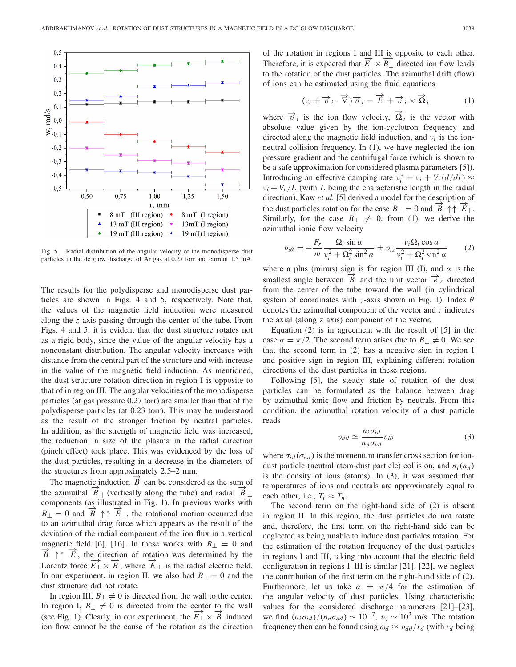

Fig. 5. Radial distribution of the angular velocity of the monodisperse dust particles in the dc glow discharge of Ar gas at 0.27 torr and current 1.5 mA.

The results for the polydisperse and monodisperse dust particles are shown in Figs. 4 and 5, respectively. Note that, the values of the magnetic field induction were measured along the *z*-axis passing through the center of the tube. From Figs. 4 and 5, it is evident that the dust structure rotates not as a rigid body, since the value of the angular velocity has a nonconstant distribution. The angular velocity increases with distance from the central part of the structure and with increase in the value of the magnetic field induction. As mentioned, the dust structure rotation direction in region I is opposite to that of in region III. The angular velocities of the monodisperse particles (at gas pressure 0.27 torr) are smaller than that of the polydisperse particles (at 0.23 torr). This may be understood as the result of the stronger friction by neutral particles. In addition, as the strength of magnetic field was increased, the reduction in size of the plasma in the radial direction (pinch effect) took place. This was evidenced by the loss of the dust particles, resulting in a decrease in the diameters of the structures from approximately 2.5–2 mm.

The magnetic induction  $\overrightarrow{B}$  can be considered as the sum of the azimuthal  $\vec{B}$  | (vertically along the tube) and radial  $\vec{B}$  ⊥ components (as illustrated in Fig. 1). In previous works with  $B_{\perp} = 0$  and  $\vec{B} \uparrow \uparrow \vec{E}_{\parallel}$ , the rotational motion occurred due to an azimuthal drag force which appears as the result of the deviation of the radial component of the ion flux in a vertical magnetic field [6], [16]. In these works with  $B_{\perp} = 0$  and  $\overrightarrow{B} \uparrow \uparrow \overrightarrow{E}$ , the direction of rotation was determined by the Lorentz force  $\overrightarrow{E_{\perp}} \times \overrightarrow{B}$ , where  $\overrightarrow{E}_{\perp}$  is the radial electric field. In our experiment, in region II, we also had  $B_{\perp} = 0$  and the dust structure did not rotate.

In region III,  $B_{\perp} \neq 0$  is directed from the wall to the center. In region I,  $B_{\perp} \neq 0$  is directed from the center to the wall (see Fig. 1). Clearly, in our experiment, the  $E_{\perp} \times B$  induced ion flow cannot be the cause of the rotation as the direction of the rotation in regions I and III is opposite to each other. Therefore, it is expected that  $\overline{E_{\parallel}} \times \overline{B_{\perp}}$  directed ion flow leads to the rotation of the dust particles. The azimuthal drift (flow) of ions can be estimated using the fluid equations

$$
(\nu_i + \overrightarrow{v}_i \cdot \overrightarrow{\nabla}) \overrightarrow{v}_i = \overrightarrow{E} + \overrightarrow{v}_i \times \overrightarrow{\Omega}_i \tag{1}
$$

where  $\vec{v}_i$  is the ion flow velocity,  $\vec{\Omega}_i$  is the vector with absolute value given by the ion-cyclotron frequency and directed along the magnetic field induction, and  $v_i$  is the ionneutral collision frequency. In (1), we have neglected the ion pressure gradient and the centrifugal force (which is shown to be a safe approximation for considered plasma parameters [5]). Introducing an effective damping rate  $v_i^* = v_i + V_r(d/dr) \approx$  $v_i + V_r/L$  (with *L* being the characteristic length in the radial direction), Kaw *et al.* [5] derived a model for the description of the dust particles rotation for the case  $B_{\perp} = 0$  and  $\overrightarrow{B} \uparrow \uparrow \overrightarrow{E}_{\parallel}$ . Similarly, for the case  $B_{\perp} \neq 0$ , from (1), we derive the azimuthal ionic flow velocity

$$
v_{i\theta} = -\frac{F_r}{m} \frac{\Omega_i \sin \alpha}{v_i^2 + \Omega_i^2 \sin^2 \alpha} \pm v_{iz} \frac{v_i \Omega_i \cos \alpha}{v_i^2 + \Omega_i^2 \sin^2 \alpha}
$$
 (2)

where a plus (minus) sign is for region III (I), and  $\alpha$  is the smallest angle between  $\vec{B}$  and the unit vector  $\vec{e}$  *r* directed from the center of the tube toward the wall (in cylindrical system of coordinates with *z*-axis shown in Fig. 1). Index  $\theta$ denotes the azimuthal component of the vector and *z* indicates the axial (along z axis) component of the vector.

Equation (2) is in agreement with the result of [5] in the case  $\alpha = \pi/2$ . The second term arises due to  $B_{\perp} \neq 0$ . We see that the second term in (2) has a negative sign in region I and positive sign in region III, explaining different rotation directions of the dust particles in these regions.

Following [5], the steady state of rotation of the dust particles can be formulated as the balance between drag by azimuthal ionic flow and friction by neutrals. From this condition, the azimuthal rotation velocity of a dust particle reads

$$
v_{d\theta} \simeq \frac{n_i \sigma_{id}}{n_n \sigma_{nd}} v_{i\theta} \tag{3}
$$

where  $\sigma_{id}(\sigma_{nd})$  is the momentum transfer cross section for iondust particle (neutral atom-dust particle) collision, and  $n_i(n_n)$ is the density of ions (atoms). In (3), it was assumed that temperatures of ions and neutrals are approximately equal to each other, i.e.,  $T_i \approx T_n$ .

The second term on the right-hand side of (2) is absent in region II. In this region, the dust particles do not rotate and, therefore, the first term on the right-hand side can be neglected as being unable to induce dust particles rotation. For the estimation of the rotation frequency of the dust particles in regions I and III, taking into account that the electric field configuration in regions I–III is similar [21], [22], we neglect the contribution of the first term on the right-hand side of (2). Furthermore, let us take  $\alpha = \pi/4$  for the estimation of the angular velocity of dust particles. Using characteristic values for the considered discharge parameters [21]–[23], we find  $(n_i \sigma_{id})/(n_n \sigma_{nd}) \sim 10^{-7}$ ,  $v_z \sim 10^2$  m/s. The rotation frequency then can be found using  $\omega_d \approx v_{d\theta}/r_d$  (with  $r_d$  being